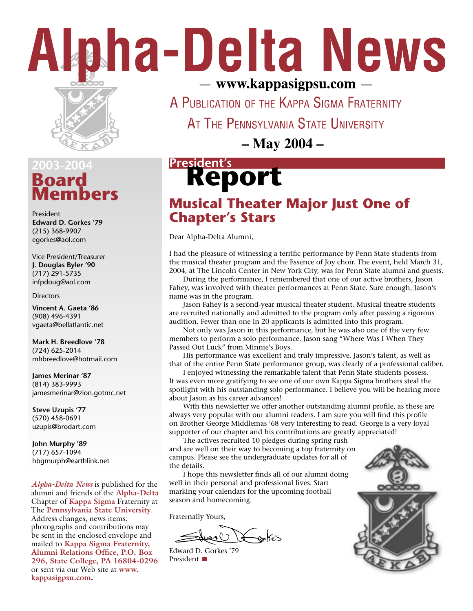# Alpha-Delta News



### **Board Members 2003-2004**

President **Edward D. Gorkes '79** (215) 368-9907 egorkes@aol.com

Vice President/Treasurer **J. Douglas Byler '90** (717) 291-5735 infpdoug@aol.com

#### **Directors**

**Vincent A. Gaeta '86** (908) 496-4391 vgaeta@bellatlantic.net

**Mark H. Breedlove '78** (724) 625-2014 mhbreedlove@hotmail.com

**James Merinar '87** (814) 383-9993 jamesmerinar@zion.gotmc.net

**Steve Uzupis '77** (570) 458-0691 uzupis@brodart.com

**John Murphy '89** (717) 657-1094 hbgmurph@earthlink.net

*Alpha-Delta News* is published for the alumni and friends of the **Alpha-Delta** Chapter of **Kappa Sigma** Fraternity at The **Pennsylvania State University**. Address changes, news items, photographs and contributions may be sent in the enclosed envelope and mailed to **Kappa Sigma Fraternity, Alumni Relations Office, P.O. Box 296, State College, PA 16804-0296** or sent via our Web site at **www. kappasigpsu.com.**

- www.kappasigpsu.com -

A PUBLICATION OF THE KAPPA SIGMA FRATERNITY

AT THE PENNSYLVANIA STATE UNIVERSITY

**– May 2004 –**

# President's<br> **Report**

### **Musical Theater Major Just One of Chapter's Stars**

Dear Alpha-Delta Alumni,

I had the pleasure of witnessing a terrific performance by Penn State students from the musical theater program and the Essence of Joy choir. The event, held March 31, 2004, at The Lincoln Center in New York City, was for Penn State alumni and guests.

 During the performance, I remembered that one of our active brothers, Jason Fahey, was involved with theater performances at Penn State. Sure enough, Jason's name was in the program.

 Jason Fahey is a second-year musical theater student. Musical theatre students are recruited nationally and admitted to the program only after passing a rigorous audition. Fewer than one in 20 applicants is admitted into this program.

 Not only was Jason in this performance, but he was also one of the very few members to perform a solo performance. Jason sang "Where Was I When They Passed Out Luck" from Minnie's Boys.

 His performance was excellent and truly impressive. Jason's talent, as well as that of the entire Penn State performance group, was clearly of a professional caliber.

 I enjoyed witnessing the remarkable talent that Penn State students possess. It was even more gratifying to see one of our own Kappa Sigma brothers steal the spotlight with his outstanding solo performance. I believe you will be hearing more about Jason as his career advances!

 With this newsletter we offer another outstanding alumni profile, as these are always very popular with our alumni readers. I am sure you will find this profile on Brother George Middlemas '68 very interesting to read. George is a very loyal supporter of our chapter and his contributions are greatly appreciated!

 The actives recruited 10 pledges during spring rush and are well on their way to becoming a top fraternity on campus. Please see the undergraduate updates for all of the details.

 I hope this newsletter finds all of our alumni doing well in their personal and professional lives. Start marking your calendars for the upcoming football season and homecoming.

Fraternally Yours,

ontes

Edward D. Gorkes '79 President **■** 

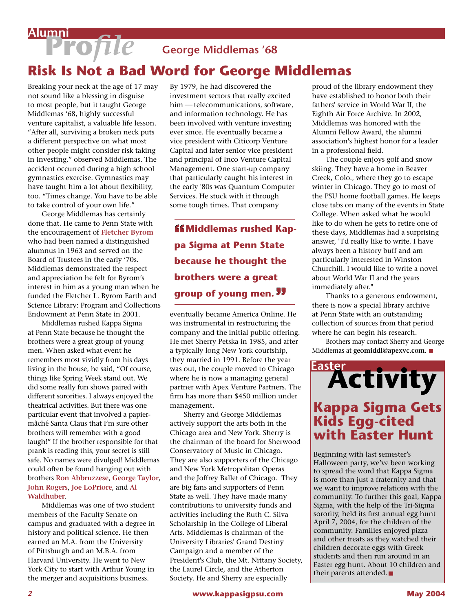# **Pro***file* **George Middlemas '68 Alumni**

## **Risk Is Not a Bad Word for George Middlemas**

Breaking your neck at the age of 17 may not sound like a blessing in disguise to most people, but it taught George Middlemas '68, highly successful venture capitalist, a valuable life lesson. "After all, surviving a broken neck puts a different perspective on what most other people might consider risk taking in investing," observed Middlemas. The accident occurred during a high school gymnastics exercise. Gymnastics may have taught him a lot about flexibility, too. "Times change. You have to be able to take control of your own life."

 George Middlemas has certainly done that. He came to Penn State with the encouragement of **Fletcher Byrom** who had been named a distinguished alumnus in 1963 and served on the Board of Trustees in the early '70s. Middlemas demonstrated the respect and appreciation he felt for Byrom's interest in him as a young man when he funded the Fletcher L. Byrom Earth and Science Library: Program and Collections Endowment at Penn State in 2001.

 Middlemas rushed Kappa Sigma at Penn State because he thought the brothers were a great group of young men. When asked what event he remembers most vividly from his days living in the house, he said, "Of course, things like Spring Week stand out. We did some really fun shows paired with different sororities. I always enjoyed the theatrical activities. But there was one particular event that involved a papiermâché Santa Claus that I'm sure other brothers will remember with a good laugh!" If the brother responsible for that prank is reading this, your secret is still safe. No names were divulged! Middlemas could often be found hanging out with brothers **Ron Abbruzzese**, **George Taylor**, **John Rogers**, **Joe LoPriore**, and **Al Waldhuber**.

 Middlemas was one of two student members of the Faculty Senate on campus and graduated with a degree in history and political science. He then earned an M.A. from the University of Pittsburgh and an M.B.A. from Harvard University. He went to New York City to start with Arthur Young in the merger and acquisitions business.

By 1979, he had discovered the investment sectors that really excited him - telecommunications, software, and information technology. He has been involved with venture investing ever since. He eventually became a vice president with Citicorp Venture Capital and later senior vice president and principal of Inco Venture Capital Management. One start-up company that particularly caught his interest in the early '80s was Quantum Computer Services. He stuck with it through some tough times. That company

*ff* **Middlemas rushed Kappa Sigma at Penn State because he thought the brothers were a great group of young men.**

eventually became America Online. He was instrumental in restructuring the company and the initial public offering. He met Sherry Petska in 1985, and after a typically long New York courtship, they married in 1991. Before the year was out, the couple moved to Chicago where he is now a managing general partner with Apex Venture Partners. The firm has more than \$450 million under management.

 Sherry and George Middlemas actively support the arts both in the Chicago area and New York. Sherry is the chairman of the board for Sherwood Conservatory of Music in Chicago. They are also supporters of the Chicago and New York Metropolitan Operas and the Joffrey Ballet of Chicago. They are big fans and supporters of Penn State as well. They have made many contributions to university funds and activities including the Ruth C. Silva Scholarship in the College of Liberal Arts. Middlemas is chairman of the University Libraries' Grand Destiny Campaign and a member of the President's Club, the Mt. Nittany Society, the Laurel Circle, and the Atherton Society. He and Sherry are especially

proud of the library endowment they have established to honor both their fathers' service in World War II, the Eighth Air Force Archive. In 2002, Middlemas was honored with the Alumni Fellow Award, the alumni association's highest honor for a leader in a professional field.

 The couple enjoys golf and snow skiing. They have a home in Beaver Creek, Colo., where they go to escape winter in Chicago. They go to most of the PSU home football games. He keeps close tabs on many of the events in State College. When asked what he would like to do when he gets to retire one of these days, Middlemas had a surprising answer, "I'd really like to write. I have always been a history buff and am particularly interested in Winston Churchill. I would like to write a novel about World War II and the years immediately after."

 Thanks to a generous endowment, there is now a special library archive at Penn State with an outstanding collection of sources from that period where he can begin his research.

 Brothers may contact Sherry and George Middlemas at **geomiddl@apexvc.com**.



Beginning with last semester's Halloween party, we've been working to spread the word that Kappa Sigma is more than just a fraternity and that we want to improve relations with the community. To further this goal, Kappa Sigma, with the help of the Tri-Sigma sorority, held its first annual egg hunt April 7, 2004, for the children of the community. Families enjoyed pizza and other treats as they watched their children decorate eggs with Greek students and then run around in an Easter egg hunt. About 10 children and their parents attended.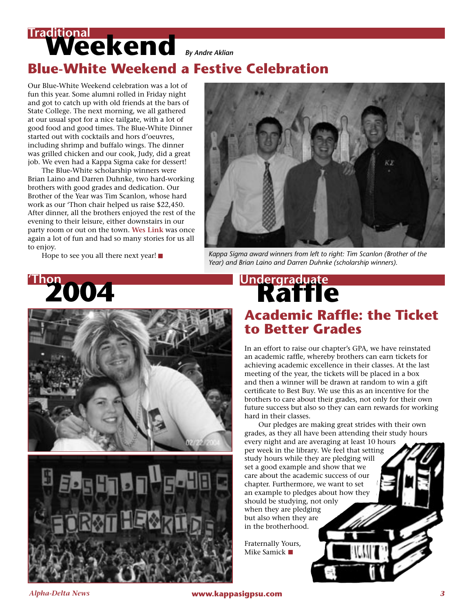# **Weekend** *By Andre Aklian* **Traditional Blue-White Weekend a Festive Celebration**

Our Blue-White Weekend celebration was a lot of fun this year. Some alumni rolled in Friday night and got to catch up with old friends at the bars of State College. The next morning, we all gathered at our usual spot for a nice tailgate, with a lot of good food and good times. The Blue-White Dinner started out with cocktails and hors d'oeuvres, including shrimp and buffalo wings. The dinner was grilled chicken and our cook, Judy, did a great job. We even had a Kappa Sigma cake for dessert!

 The Blue-White scholarship winners were Brian Laino and Darren Duhnke, two hard-working brothers with good grades and dedication. Our Brother of the Year was Tim Scanlon, whose hard work as our 'Thon chair helped us raise \$22,450. After dinner, all the brothers enjoyed the rest of the evening to their leisure, either downstairs in our party room or out on the town. **Wes Link** was once again a lot of fun and had so many stories for us all to enjoy.



 Hope to see you all there next year! *Kappa Sigma award winners from left to right: Tim Scanlon (Brother of the Year) and Brian Laino and Darren Duhnke (scholarship winners).*





# **Academic Raffle: the Ticket to Better Grades** Undergraduate<br>**Raffle**

In an effort to raise our chapter's GPA, we have reinstated an academic raffle, whereby brothers can earn tickets for achieving academic excellence in their classes. At the last meeting of the year, the tickets will be placed in a box and then a winner will be drawn at random to win a gift certificate to Best Buy. We use this as an incentive for the brothers to care about their grades, not only for their own future success but also so they can earn rewards for working hard in their classes.

 Our pledges are making great strides with their own grades, as they all have been attending their study hours every night and are averaging at least 10 hours per week in the library. We feel that setting study hours while they are pledging will set a good example and show that we care about the academic success of our chapter. Furthermore, we want to set an example to pledges about how they should be studying, not only when they are pledging but also when they are in the brotherhood.

Fraternally Yours, Mike Samick  $\blacksquare$